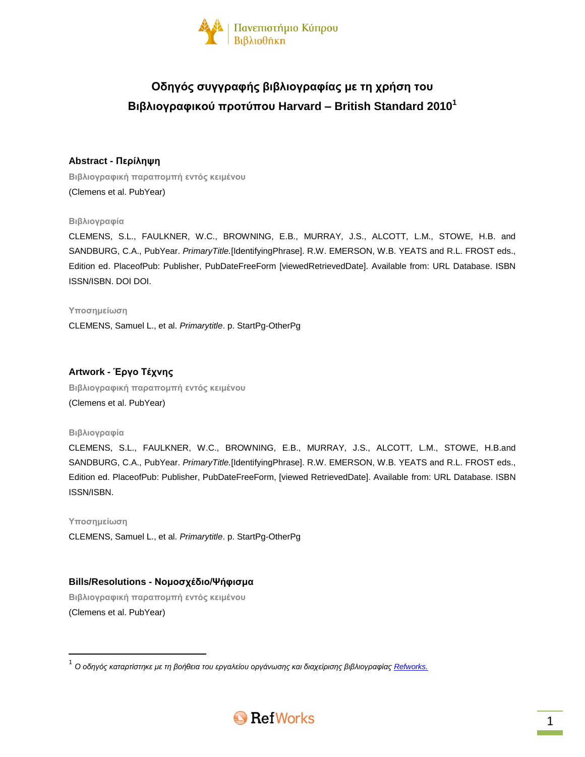

# **Οδηγός συγγραφής βιβλιογραφίας με τη χρήση του Βιβλιογραφικού προτύπου Harvard – British Standard 2010<sup>1</sup>**

# **Abstract - Περίληψη**

**Βιβλιογραφική παραπομπή εντός κειμένου** (Clemens et al. PubYear)

### **Βιβλιογραφία**

CLEMENS, S.L., FAULKNER, W.C., BROWNING, E.B., MURRAY, J.S., ALCOTT, L.M., STOWE, H.B. and SANDBURG, C.A., PubYear. *PrimaryTitle.*[IdentifyingPhrase]. R.W. EMERSON, W.B. YEATS and R.L. FROST eds., Edition ed. PlaceofPub: Publisher, PubDateFreeForm [viewedRetrievedDate]. Available from: URL Database. ISBN ISSN/ISBN. DOI DOI.

#### **Υποσημείωση**

CLEMENS, Samuel L., et al. *Primarytitle*. p. StartPg-OtherPg

# **Artwork - Έργο Τέχνης**

**Βιβλιογραφική παραπομπή εντός κειμένου** (Clemens et al. PubYear)

#### **Βιβλιογραφία**

CLEMENS, S.L., FAULKNER, W.C., BROWNING, E.B., MURRAY, J.S., ALCOTT, L.M., STOWE, H.B.and SANDBURG, C.A., PubYear. *PrimaryTitle.*[IdentifyingPhrase]. R.W. EMERSON, W.B. YEATS and R.L. FROST eds., Edition ed. PlaceofPub: Publisher, PubDateFreeForm, [viewed RetrievedDate]. Available from: URL Database. ISBN ISSN/ISBN.

#### **Υποσημείωση**

 $\overline{\phantom{a}}$ 

CLEMENS, Samuel L., et al. *Primarytitle*. p. StartPg-OtherPg

# **Bills/Resolutions - Νομοσχέδιο/Ψήφισμα**

**Βιβλιογραφική παραπομπή εντός κειμένου** (Clemens et al. PubYear)

<sup>.&</sup>lt;br><sup>1</sup> Ο οδηγός καταρτίστηκε με τη βοήθεια του εργαλείου οργάνωσης και διαχείρισης βιβλιογραφίας <u>Refworks.</u>

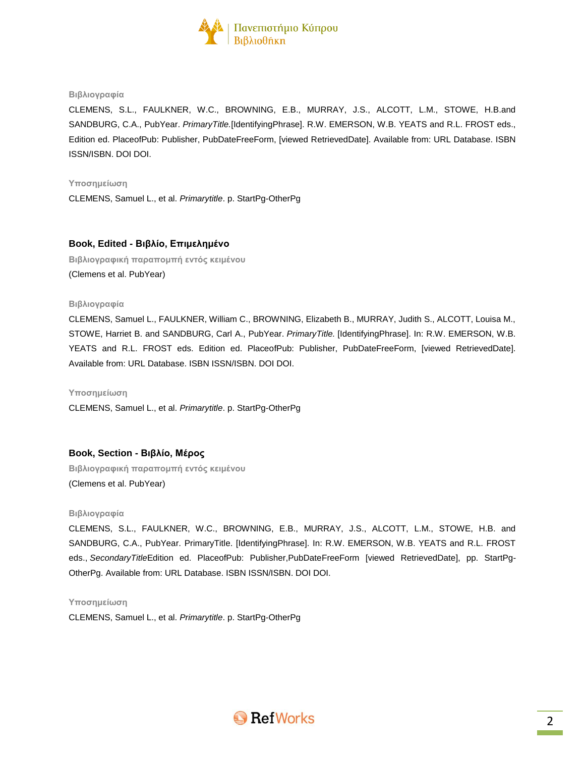

#### **Βιβλιογραφία**

CLEMENS, S.L., FAULKNER, W.C., BROWNING, E.B., MURRAY, J.S., ALCOTT, L.M., STOWE, H.B.and SANDBURG, C.A., PubYear. *PrimaryTitle.*[IdentifyingPhrase]. R.W. EMERSON, W.B. YEATS and R.L. FROST eds., Edition ed. PlaceofPub: Publisher, PubDateFreeForm, [viewed RetrievedDate]. Available from: URL Database. ISBN ISSN/ISBN. DOI DOI.

#### **Υποσημείωση**

CLEMENS, Samuel L., et al. *Primarytitle*. p. StartPg-OtherPg

#### **Book, Edited - Βιβλίο, Επιμελημένο**

**Βιβλιογραφική παραπομπή εντός κειμένου** (Clemens et al. PubYear)

#### **Βιβλιογραφία**

CLEMENS, Samuel L., FAULKNER, William C., BROWNING, Elizabeth B., MURRAY, Judith S., ALCOTT, Louisa M., STOWE, Harriet B. and SANDBURG, Carl A., PubYear. *PrimaryTitle.* [IdentifyingPhrase]. In: R.W. EMERSON, W.B. YEATS and R.L. FROST eds. Edition ed. PlaceofPub: Publisher, PubDateFreeForm, [viewed RetrievedDate]. Available from: URL Database. ISBN ISSN/ISBN. DOI DOI.

**Υποσημείωση**

CLEMENS, Samuel L., et al. *Primarytitle*. p. StartPg-OtherPg

#### **Book, Section - Βιβλίο, Μέρος**

**Βιβλιογραφική παραπομπή εντός κειμένου** (Clemens et al. PubYear)

#### **Βιβλιογραφία**

CLEMENS, S.L., FAULKNER, W.C., BROWNING, E.B., MURRAY, J.S., ALCOTT, L.M., STOWE, H.B. and SANDBURG, C.A., PubYear. PrimaryTitle. [IdentifyingPhrase]. In: R.W. EMERSON, W.B. YEATS and R.L. FROST eds., *SecondaryTitle*Edition ed. PlaceofPub: Publisher,PubDateFreeForm [viewed RetrievedDate], pp. StartPg-OtherPg. Available from: URL Database. ISBN ISSN/ISBN. DOI DOI.

**Υποσημείωση**

CLEMENS, Samuel L., et al. *Primarytitle*. p. StartPg-OtherPg

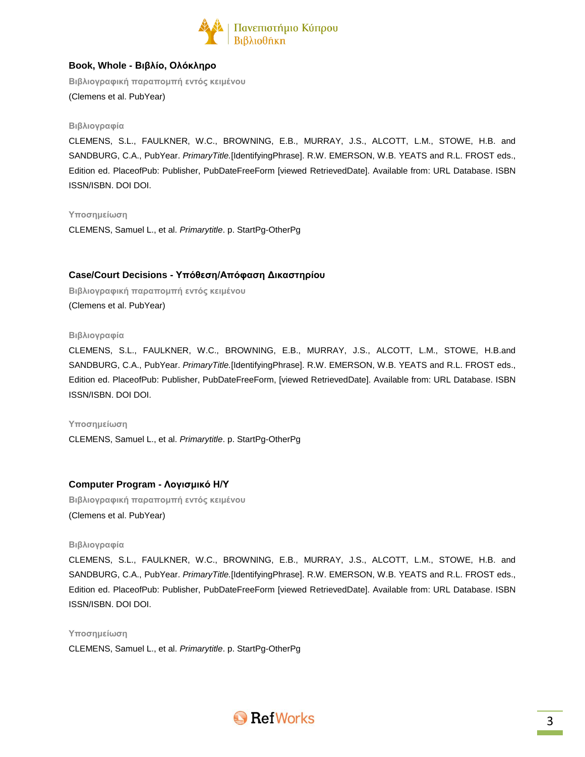

# **Book, Whole - Βιβλίο, Ολόκληρο**

**Βιβλιογραφική παραπομπή εντός κειμένου** (Clemens et al. PubYear)

#### **Βιβλιογραφία**

CLEMENS, S.L., FAULKNER, W.C., BROWNING, E.B., MURRAY, J.S., ALCOTT, L.M., STOWE, H.B. and SANDBURG, C.A., PubYear. *PrimaryTitle.*[IdentifyingPhrase]. R.W. EMERSON, W.B. YEATS and R.L. FROST eds., Edition ed. PlaceofPub: Publisher, PubDateFreeForm [viewed RetrievedDate]. Available from: URL Database. ISBN ISSN/ISBN. DOI DOI.

**Υποσημείωση**

CLEMENS, Samuel L., et al. *Primarytitle*. p. StartPg-OtherPg

# **Case/Court Decisions - Υπόθεση/Απόφαση Δικαστηρίου**

**Βιβλιογραφική παραπομπή εντός κειμένου** (Clemens et al. PubYear)

#### **Βιβλιογραφία**

CLEMENS, S.L., FAULKNER, W.C., BROWNING, E.B., MURRAY, J.S., ALCOTT, L.M., STOWE, H.B.and SANDBURG, C.A., PubYear. *PrimaryTitle.*[IdentifyingPhrase]. R.W. EMERSON, W.B. YEATS and R.L. FROST eds., Edition ed. PlaceofPub: Publisher, PubDateFreeForm, [viewed RetrievedDate]. Available from: URL Database. ISBN ISSN/ISBN. DOI DOI.

#### **Υποσημείωση**

CLEMENS, Samuel L., et al. *Primarytitle*. p. StartPg-OtherPg

# **Computer Program - Λογισμικό Η/Υ**

**Βιβλιογραφική παραπομπή εντός κειμένου** (Clemens et al. PubYear)

#### **Βιβλιογραφία**

CLEMENS, S.L., FAULKNER, W.C., BROWNING, E.B., MURRAY, J.S., ALCOTT, L.M., STOWE, H.B. and SANDBURG, C.A., PubYear. *PrimaryTitle.*[IdentifyingPhrase]. R.W. EMERSON, W.B. YEATS and R.L. FROST eds., Edition ed. PlaceofPub: Publisher, PubDateFreeForm [viewed RetrievedDate]. Available from: URL Database. ISBN ISSN/ISBN. DOI DOI.

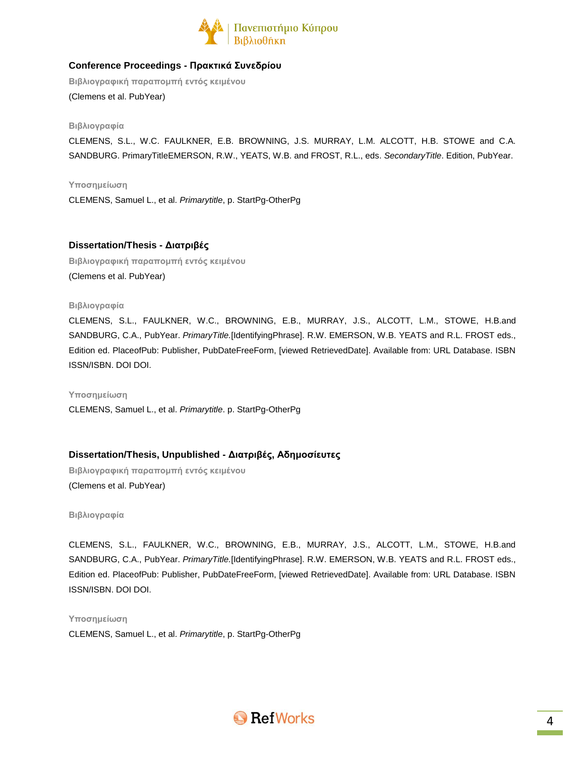

# **Conference Proceedings - Πρακτικά Συνεδρίου**

**Βιβλιογραφική παραπομπή εντός κειμένου** (Clemens et al. PubYear)

#### **Βιβλιογραφία**

CLEMENS, S.L., W.C. FAULKNER, E.B. BROWNING, J.S. MURRAY, L.M. ALCOTT, H.B. STOWE and C.A. SANDBURG. PrimaryTitleEMERSON, R.W., YEATS, W.B. and FROST, R.L., eds. *SecondaryTitle*. Edition, PubYear.

**Υποσημείωση**

CLEMENS, Samuel L., et al. *Primarytitle*, p. StartPg-OtherPg

# **Dissertation/Thesis - Διατριβές**

**Βιβλιογραφική παραπομπή εντός κειμένου** (Clemens et al. PubYear)

### **Βιβλιογραφία**

CLEMENS, S.L., FAULKNER, W.C., BROWNING, E.B., MURRAY, J.S., ALCOTT, L.M., STOWE, H.B.and SANDBURG, C.A., PubYear. *PrimaryTitle.*[IdentifyingPhrase]. R.W. EMERSON, W.B. YEATS and R.L. FROST eds., Edition ed. PlaceofPub: Publisher, PubDateFreeForm, [viewed RetrievedDate]. Available from: URL Database. ISBN ISSN/ISBN. DOI DOI.

#### **Υποσημείωση**

CLEMENS, Samuel L., et al. *Primarytitle*. p. StartPg-OtherPg

# **Dissertation/Thesis, Unpublished - Διατριβές, Αδημοσίευτες**

**Βιβλιογραφική παραπομπή εντός κειμένου** (Clemens et al. PubYear)

**Βιβλιογραφία**

CLEMENS, S.L., FAULKNER, W.C., BROWNING, E.B., MURRAY, J.S., ALCOTT, L.M., STOWE, H.B.and SANDBURG, C.A., PubYear. *PrimaryTitle.*[IdentifyingPhrase]. R.W. EMERSON, W.B. YEATS and R.L. FROST eds., Edition ed. PlaceofPub: Publisher, PubDateFreeForm, [viewed RetrievedDate]. Available from: URL Database. ISBN ISSN/ISBN. DOI DOI.

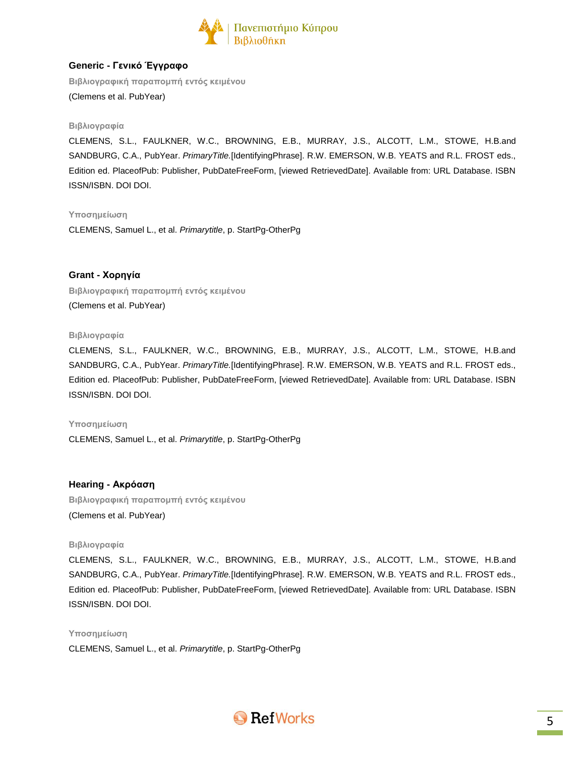

# **Generic - Γενικό Έγγραφο**

**Βιβλιογραφική παραπομπή εντός κειμένου** (Clemens et al. PubYear)

#### **Βιβλιογραφία**

CLEMENS, S.L., FAULKNER, W.C., BROWNING, E.B., MURRAY, J.S., ALCOTT, L.M., STOWE, H.B.and SANDBURG, C.A., PubYear. *PrimaryTitle.*[IdentifyingPhrase]. R.W. EMERSON, W.B. YEATS and R.L. FROST eds., Edition ed. PlaceofPub: Publisher, PubDateFreeForm, [viewed RetrievedDate]. Available from: URL Database. ISBN ISSN/ISBN. DOI DOI.

### **Υποσημείωση**

CLEMENS, Samuel L., et al. *Primarytitle*, p. StartPg-OtherPg

# **Grant - Χορηγία**

**Βιβλιογραφική παραπομπή εντός κειμένου** (Clemens et al. PubYear)

#### **Βιβλιογραφία**

CLEMENS, S.L., FAULKNER, W.C., BROWNING, E.B., MURRAY, J.S., ALCOTT, L.M., STOWE, H.B.and SANDBURG, C.A., PubYear. *PrimaryTitle.*[IdentifyingPhrase]. R.W. EMERSON, W.B. YEATS and R.L. FROST eds., Edition ed. PlaceofPub: Publisher, PubDateFreeForm, [viewed RetrievedDate]. Available from: URL Database. ISBN ISSN/ISBN. DOI DOI.

#### **Υποσημείωση**

CLEMENS, Samuel L., et al. *Primarytitle*, p. StartPg-OtherPg

# **Hearing - Ακρόαση**

**Βιβλιογραφική παραπομπή εντός κειμένου** (Clemens et al. PubYear)

#### **Βιβλιογραφία**

CLEMENS, S.L., FAULKNER, W.C., BROWNING, E.B., MURRAY, J.S., ALCOTT, L.M., STOWE, H.B.and SANDBURG, C.A., PubYear. *PrimaryTitle.*[IdentifyingPhrase]. R.W. EMERSON, W.B. YEATS and R.L. FROST eds., Edition ed. PlaceofPub: Publisher, PubDateFreeForm, [viewed RetrievedDate]. Available from: URL Database. ISBN ISSN/ISBN. DOI DOI.

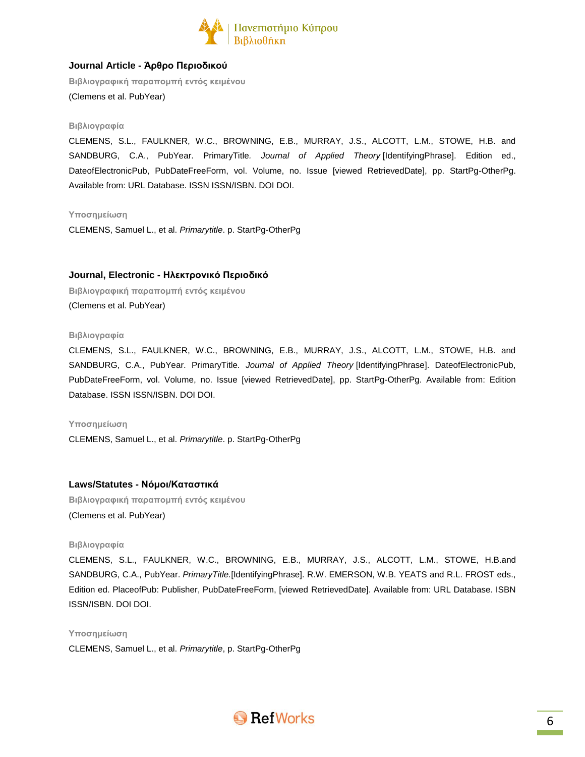

# **Journal Article - Άρθρο Περιοδικού**

**Βιβλιογραφική παραπομπή εντός κειμένου** (Clemens et al. PubYear)

#### **Βιβλιογραφία**

CLEMENS, S.L., FAULKNER, W.C., BROWNING, E.B., MURRAY, J.S., ALCOTT, L.M., STOWE, H.B. and SANDBURG, C.A., PubYear. PrimaryTitle*. Journal of Applied Theory* [IdentifyingPhrase]. Edition ed., DateofElectronicPub, PubDateFreeForm, vol. Volume, no. Issue [viewed RetrievedDate], pp. StartPg-OtherPg. Available from: URL Database. ISSN ISSN/ISBN. DOI DOI.

#### **Υποσημείωση**

CLEMENS, Samuel L., et al. *Primarytitle*. p. StartPg-OtherPg

# **Journal, Electronic - Ηλεκτρονικό Περιοδικό**

**Βιβλιογραφική παραπομπή εντός κειμένου** (Clemens et al. PubYear)

#### **Βιβλιογραφία**

CLEMENS, S.L., FAULKNER, W.C., BROWNING, E.B., MURRAY, J.S., ALCOTT, L.M., STOWE, H.B. and SANDBURG, C.A., PubYear. PrimaryTitle*. Journal of Applied Theory* [IdentifyingPhrase]. DateofElectronicPub, PubDateFreeForm, vol. Volume, no. Issue [viewed RetrievedDate], pp. StartPg-OtherPg. Available from: Edition Database. ISSN ISSN/ISBN. DOI DOI.

#### **Υποσημείωση**

CLEMENS, Samuel L., et al. *Primarytitle*. p. StartPg-OtherPg

# **Laws/Statutes - Νόμοι/Καταστικά**

**Βιβλιογραφική παραπομπή εντός κειμένου** (Clemens et al. PubYear)

#### **Βιβλιογραφία**

CLEMENS, S.L., FAULKNER, W.C., BROWNING, E.B., MURRAY, J.S., ALCOTT, L.M., STOWE, H.B.and SANDBURG, C.A., PubYear. *PrimaryTitle.*[IdentifyingPhrase]. R.W. EMERSON, W.B. YEATS and R.L. FROST eds., Edition ed. PlaceofPub: Publisher, PubDateFreeForm, [viewed RetrievedDate]. Available from: URL Database. ISBN ISSN/ISBN. DOI DOI.

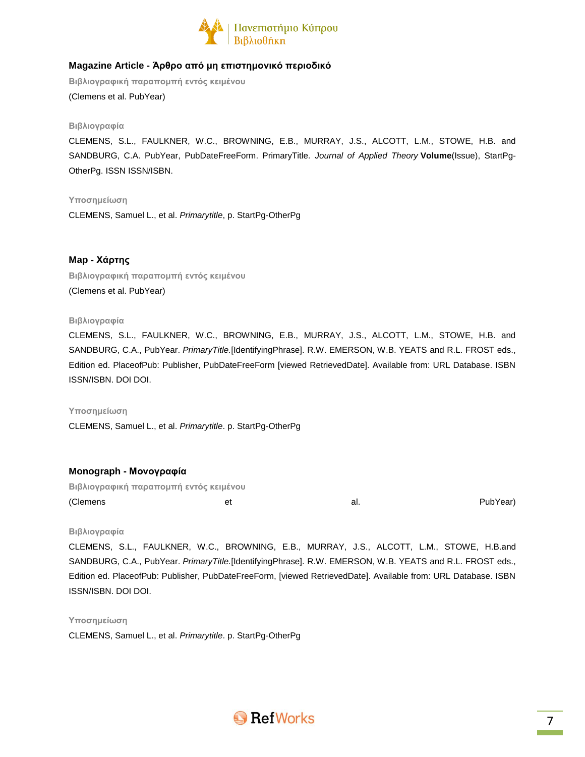

# **Magazine Article - Άρθρο από μη επιστημονικό περιοδικό**

**Βιβλιογραφική παραπομπή εντός κειμένου** (Clemens et al. PubYear)

#### **Βιβλιογραφία**

CLEMENS, S.L., FAULKNER, W.C., BROWNING, E.B., MURRAY, J.S., ALCOTT, L.M., STOWE, H.B. and SANDBURG, C.A. PubYear, PubDateFreeForm. PrimaryTitle*. Journal of Applied Theory* **Volume**(Issue), StartPg-OtherPg. ISSN ISSN/ISBN.

#### **Υποσημείωση**

CLEMENS, Samuel L., et al. *Primarytitle*, p. StartPg-OtherPg

# **Map - Χάρτης**

**Βιβλιογραφική παραπομπή εντός κειμένου** (Clemens et al. PubYear)

### **Βιβλιογραφία**

CLEMENS, S.L., FAULKNER, W.C., BROWNING, E.B., MURRAY, J.S., ALCOTT, L.M., STOWE, H.B. and SANDBURG, C.A., PubYear. *PrimaryTitle.*[IdentifyingPhrase]. R.W. EMERSON, W.B. YEATS and R.L. FROST eds., Edition ed. PlaceofPub: Publisher, PubDateFreeForm [viewed RetrievedDate]. Available from: URL Database. ISBN ISSN/ISBN. DOI DOI.

#### **Υποσημείωση**

CLEMENS, Samuel L., et al. *Primarytitle*. p. StartPg-OtherPg

# **Monograph - Μονογραφία**

**Βιβλιογραφική παραπομπή εντός κειμένου** (Clemens et et al. al. PubYear)

#### **Βιβλιογραφία**

CLEMENS, S.L., FAULKNER, W.C., BROWNING, E.B., MURRAY, J.S., ALCOTT, L.M., STOWE, H.B.and SANDBURG, C.A., PubYear. *PrimaryTitle.*[IdentifyingPhrase]. R.W. EMERSON, W.B. YEATS and R.L. FROST eds., Edition ed. PlaceofPub: Publisher, PubDateFreeForm, [viewed RetrievedDate]. Available from: URL Database. ISBN ISSN/ISBN. DOI DOI.

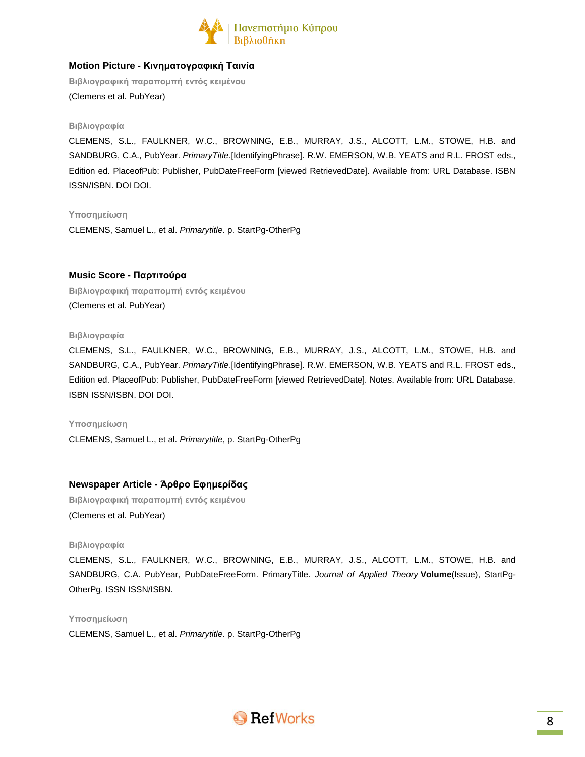

# **Motion Picture - Κινηματογραφική Ταινία**

**Βιβλιογραφική παραπομπή εντός κειμένου** (Clemens et al. PubYear)

#### **Βιβλιογραφία**

CLEMENS, S.L., FAULKNER, W.C., BROWNING, E.B., MURRAY, J.S., ALCOTT, L.M., STOWE, H.B. and SANDBURG, C.A., PubYear. *PrimaryTitle.*[IdentifyingPhrase]. R.W. EMERSON, W.B. YEATS and R.L. FROST eds., Edition ed. PlaceofPub: Publisher, PubDateFreeForm [viewed RetrievedDate]. Available from: URL Database. ISBN ISSN/ISBN. DOI DOI.

**Υποσημείωση**

CLEMENS, Samuel L., et al. *Primarytitle*. p. StartPg-OtherPg

### **Music Score - Παρτιτούρα**

**Βιβλιογραφική παραπομπή εντός κειμένου** (Clemens et al. PubYear)

#### **Βιβλιογραφία**

CLEMENS, S.L., FAULKNER, W.C., BROWNING, E.B., MURRAY, J.S., ALCOTT, L.M., STOWE, H.B. and SANDBURG, C.A., PubYear. *PrimaryTitle.*[IdentifyingPhrase]. R.W. EMERSON, W.B. YEATS and R.L. FROST eds., Edition ed. PlaceofPub: Publisher, PubDateFreeForm [viewed RetrievedDate]. Notes. Available from: URL Database. ISBN ISSN/ISBN. DOI DOI.

#### **Υποσημείωση**

CLEMENS, Samuel L., et al. *Primarytitle*, p. StartPg-OtherPg

# **Newspaper Article - Άρθρο Εφημερίδας**

**Βιβλιογραφική παραπομπή εντός κειμένου** (Clemens et al. PubYear)

#### **Βιβλιογραφία**

CLEMENS, S.L., FAULKNER, W.C., BROWNING, E.B., MURRAY, J.S., ALCOTT, L.M., STOWE, H.B. and SANDBURG, C.A. PubYear, PubDateFreeForm. PrimaryTitle*. Journal of Applied Theory* **Volume**(Issue), StartPg-OtherPg. ISSN ISSN/ISBN.

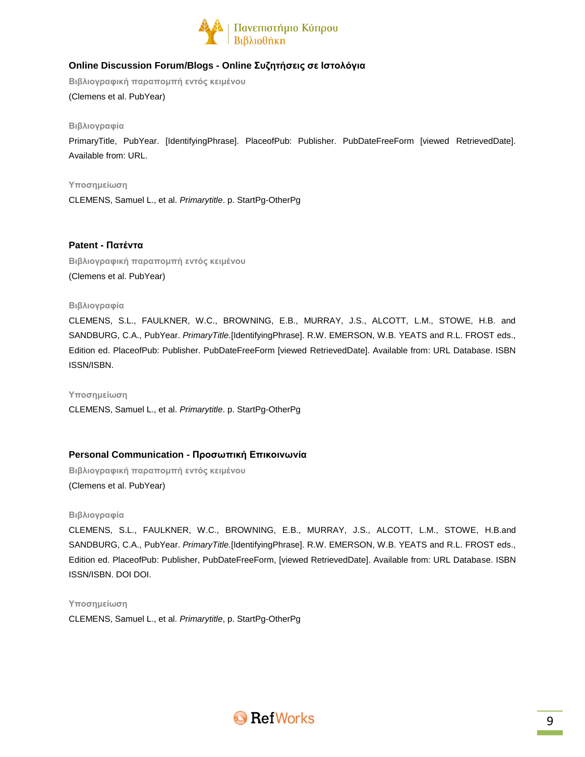

# **Online Discussion Forum/Blogs - Online Συζητήσεις σε Ιστολόγια**

**Βιβλιογραφική παραπομπή εντός κειμένου** (Clemens et al. PubYear)

### **Βιβλιογραφία**

PrimaryTitle, PubYear. [IdentifyingPhrase]. PlaceofPub: Publisher. PubDateFreeForm [viewed RetrievedDate]. Available from: URL.

**Υποσημείωση**

CLEMENS, Samuel L., et al. *Primarytitle*. p. StartPg-OtherPg

**Patent - Πατέντα**

**Βιβλιογραφική παραπομπή εντός κειμένου** (Clemens et al. PubYear)

### **Βιβλιογραφία**

CLEMENS, S.L., FAULKNER, W.C., BROWNING, E.B., MURRAY, J.S., ALCOTT, L.M., STOWE, H.B. and SANDBURG, C.A., PubYear. *PrimaryTitle.*[IdentifyingPhrase]. R.W. EMERSON, W.B. YEATS and R.L. FROST eds., Edition ed. PlaceofPub: Publisher. PubDateFreeForm [viewed RetrievedDate]. Available from: URL Database. ISBN ISSN/ISBN.

#### **Υποσημείωση**

CLEMENS, Samuel L., et al. *Primarytitle*. p. StartPg-OtherPg

# **Personal Communication - Προσωπική Επικοινωνία**

**Βιβλιογραφική παραπομπή εντός κειμένου** (Clemens et al. PubYear)

#### **Βιβλιογραφία**

CLEMENS, S.L., FAULKNER, W.C., BROWNING, E.B., MURRAY, J.S., ALCOTT, L.M., STOWE, H.B.and SANDBURG, C.A., PubYear. *PrimaryTitle.*[IdentifyingPhrase]. R.W. EMERSON, W.B. YEATS and R.L. FROST eds., Edition ed. PlaceofPub: Publisher, PubDateFreeForm, [viewed RetrievedDate]. Available from: URL Database. ISBN ISSN/ISBN. DOI DOI.

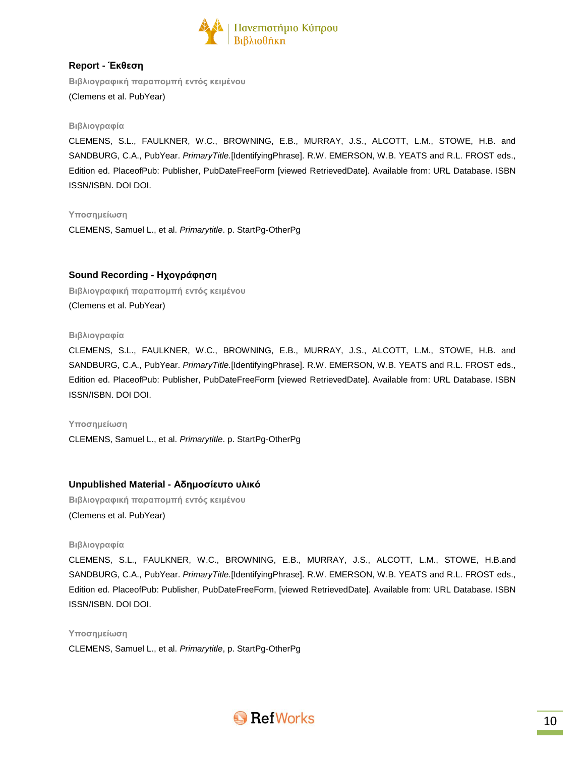

# **Report - Έκθεση**

**Βιβλιογραφική παραπομπή εντός κειμένου** (Clemens et al. PubYear)

### **Βιβλιογραφία**

CLEMENS, S.L., FAULKNER, W.C., BROWNING, E.B., MURRAY, J.S., ALCOTT, L.M., STOWE, H.B. and SANDBURG, C.A., PubYear. *PrimaryTitle.*[IdentifyingPhrase]. R.W. EMERSON, W.B. YEATS and R.L. FROST eds., Edition ed. PlaceofPub: Publisher, PubDateFreeForm [viewed RetrievedDate]. Available from: URL Database. ISBN ISSN/ISBN. DOI DOI.

### **Υποσημείωση**

CLEMENS, Samuel L., et al. *Primarytitle*. p. StartPg-OtherPg

# **Sound Recording - Ηχογράφηση**

**Βιβλιογραφική παραπομπή εντός κειμένου** (Clemens et al. PubYear)

#### **Βιβλιογραφία**

CLEMENS, S.L., FAULKNER, W.C., BROWNING, E.B., MURRAY, J.S., ALCOTT, L.M., STOWE, H.B. and SANDBURG, C.A., PubYear. *PrimaryTitle.*[IdentifyingPhrase]. R.W. EMERSON, W.B. YEATS and R.L. FROST eds., Edition ed. PlaceofPub: Publisher, PubDateFreeForm [viewed RetrievedDate]. Available from: URL Database. ISBN ISSN/ISBN. DOI DOI.

#### **Υποσημείωση**

CLEMENS, Samuel L., et al. *Primarytitle*. p. StartPg-OtherPg

# **Unpublished Material - Αδημοσίευτο υλικό**

**Βιβλιογραφική παραπομπή εντός κειμένου** (Clemens et al. PubYear)

#### **Βιβλιογραφία**

CLEMENS, S.L., FAULKNER, W.C., BROWNING, E.B., MURRAY, J.S., ALCOTT, L.M., STOWE, H.B.and SANDBURG, C.A., PubYear. *PrimaryTitle.*[IdentifyingPhrase]. R.W. EMERSON, W.B. YEATS and R.L. FROST eds., Edition ed. PlaceofPub: Publisher, PubDateFreeForm, [viewed RetrievedDate]. Available from: URL Database. ISBN ISSN/ISBN. DOI DOI.